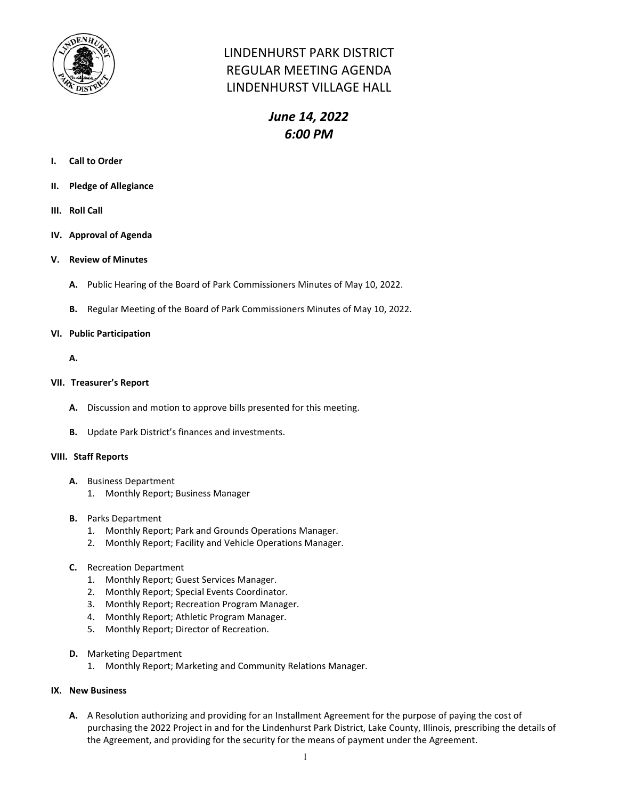

# LINDENHURST PARK DISTRICT REGULAR MEETING AGENDA LINDENHURST VILLAGE HALL

# *June 14, 2022 6:00 PM*

- **I. Call to Order**
- **II. Pledge of Allegiance**
- **III. Roll Call**
- **IV. Approval of Agenda**
- **V. Review of Minutes**
	- **A.** Public Hearing of the Board of Park Commissioners Minutes of May 10, 2022.
	- **B.** Regular Meeting of the Board of Park Commissioners Minutes of May 10, 2022.

#### **VI. Public Participation**

## **A.**

#### **VII. Treasurer's Report**

- **A.** Discussion and motion to approve bills presented for this meeting.
- **B.** Update Park District's finances and investments.

#### **VIII. Staff Reports**

- **A.** Business Department 1. Monthly Report; Business Manager
- **B.** Parks Department
	- 1. Monthly Report; Park and Grounds Operations Manager.
	- 2. Monthly Report; Facility and Vehicle Operations Manager.
- **C.** Recreation Department
	- 1. Monthly Report; Guest Services Manager.
	- 2. Monthly Report; Special Events Coordinator.
	- 3. Monthly Report; Recreation Program Manager.
	- 4. Monthly Report; Athletic Program Manager.
	- 5. Monthly Report; Director of Recreation.
- **D.** Marketing Department
	- 1. Monthly Report; Marketing and Community Relations Manager.

#### **IX. New Business**

**A.** A Resolution authorizing and providing for an Installment Agreement for the purpose of paying the cost of purchasing the 2022 Project in and for the Lindenhurst Park District, Lake County, Illinois, prescribing the details of the Agreement, and providing for the security for the means of payment under the Agreement.